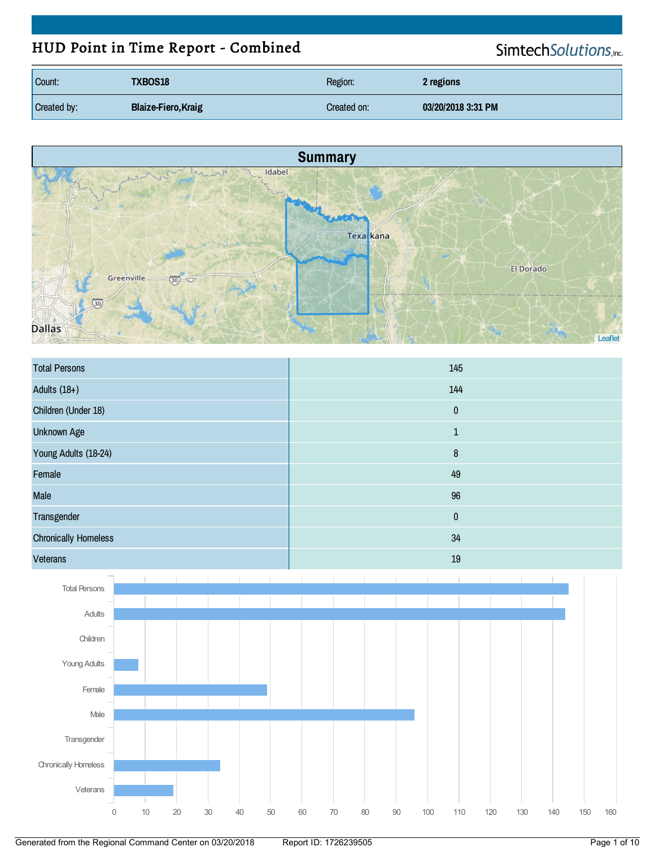# HUD Point in Time Report - Combined

SimtechSolutions,inc.

| Count:      | <b>TXBOS18</b>             | Region:     | 2 regions          |
|-------------|----------------------------|-------------|--------------------|
| Created by: | <b>Blaize-Fiero, Kraig</b> | Created on: | 03/20/2018 3:31 PM |



| <b>Total Persons</b>        | 145          |
|-----------------------------|--------------|
| Adults $(18+)$              | 144          |
| Children (Under 18)         | $\pmb{0}$    |
| <b>Unknown Age</b>          | $\mathbf{1}$ |
| Young Adults (18-24)        | $\bf 8$      |
| Female                      | 49           |
| <b>Male</b>                 | 96           |
| Transgender                 | $\pmb{0}$    |
| <b>Chronically Homeless</b> | 34           |
| Veterans                    | 19           |

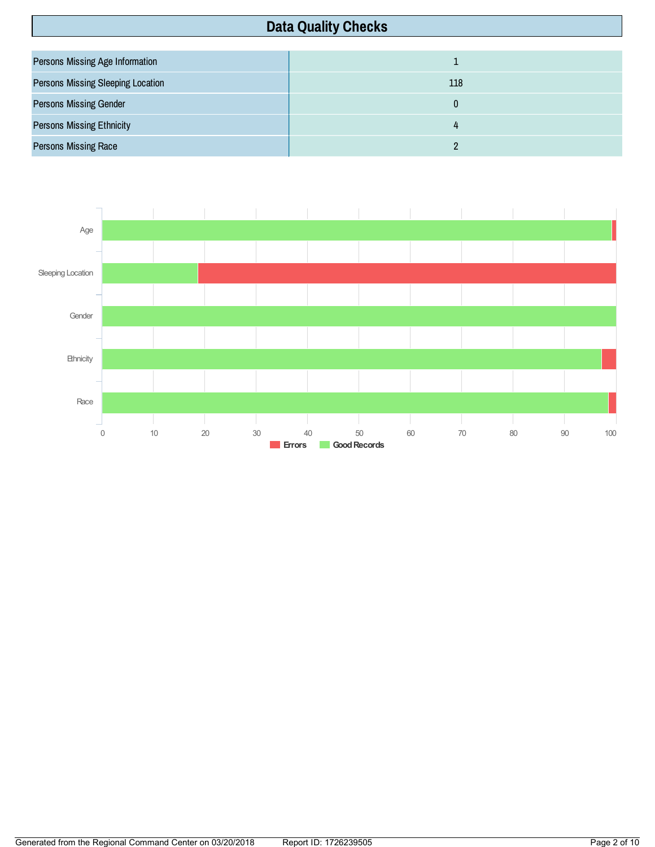# **Data Quality Checks**

| <b>Persons Missing Age Information</b>   |     |
|------------------------------------------|-----|
| <b>Persons Missing Sleeping Location</b> | 118 |
| <b>Persons Missing Gender</b>            |     |
| <b>Persons Missing Ethnicity</b>         |     |
| <b>Persons Missing Race</b>              |     |

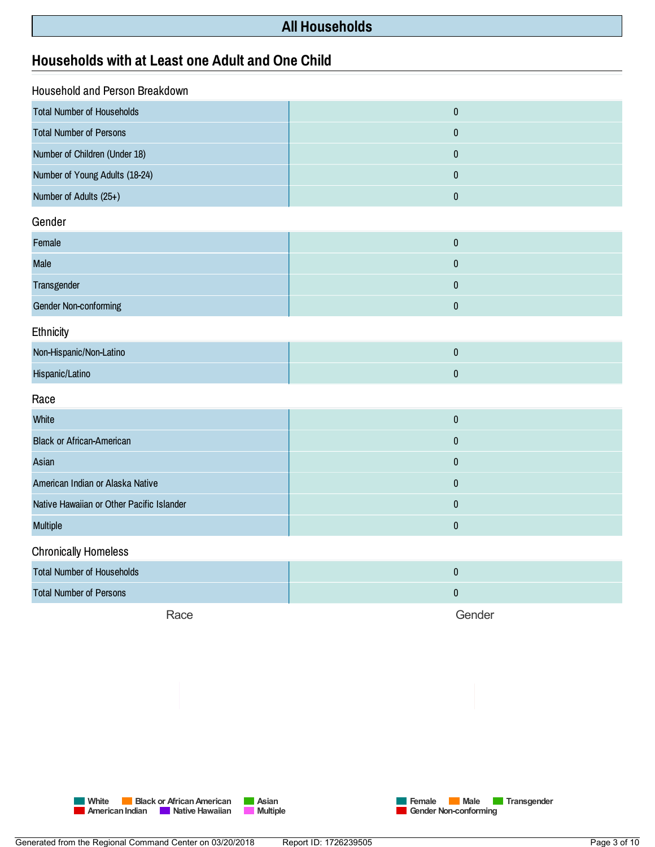### **All Households**

### **Households withatLeastone Adult and One Child**

| Household and Person Breakdown            |              |
|-------------------------------------------|--------------|
| <b>Total Number of Households</b>         | $\pmb{0}$    |
| <b>Total Number of Persons</b>            | $\pmb{0}$    |
| Number of Children (Under 18)             | $\mathbf 0$  |
| Number of Young Adults (18-24)            | $\mathbf{0}$ |
| Number of Adults (25+)                    | $\pmb{0}$    |
| Gender                                    |              |
| Female                                    | $\pmb{0}$    |
| Male                                      | $\pmb{0}$    |
| Transgender                               | $\mathbf 0$  |
| Gender Non-conforming                     | $\pmb{0}$    |
| Ethnicity                                 |              |
| Non-Hispanic/Non-Latino                   | $\pmb{0}$    |
| Hispanic/Latino                           | $\pmb{0}$    |
| Race                                      |              |
| White                                     | $\mathbf 0$  |
| <b>Black or African-American</b>          | $\mathbf 0$  |
| Asian                                     | $\mathbf{0}$ |
| American Indian or Alaska Native          | $\pmb{0}$    |
| Native Hawaiian or Other Pacific Islander | $\pmb{0}$    |
| Multiple                                  | $\pmb{0}$    |
| <b>Chronically Homeless</b>               |              |
| <b>Total Number of Households</b>         | $\pmb{0}$    |
| <b>Total Number of Persons</b>            | $\mathbf 0$  |
| Race                                      | Gender       |



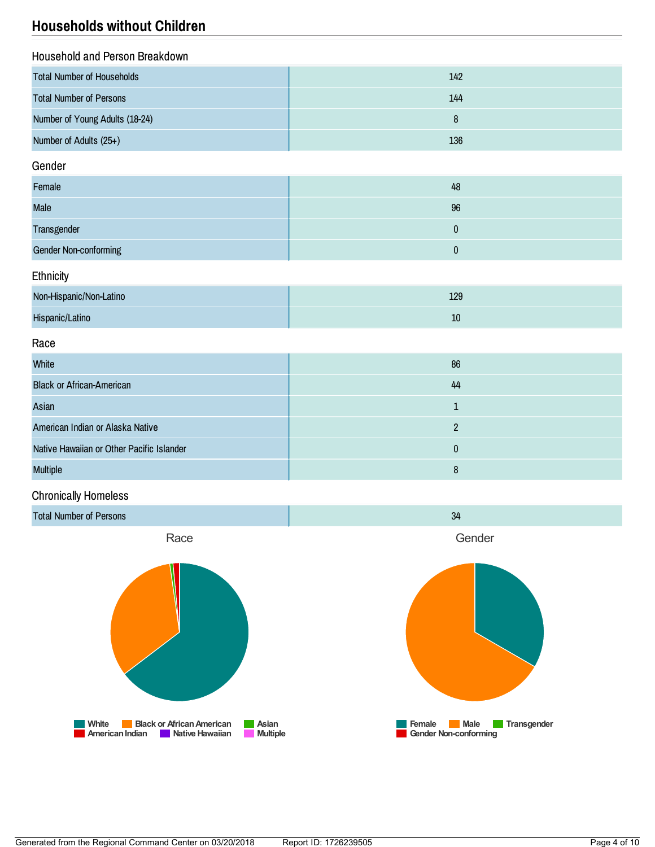## **Households without Children**

| Household and Person Breakdown            |             |  |
|-------------------------------------------|-------------|--|
| <b>Total Number of Households</b>         | 142         |  |
| <b>Total Number of Persons</b>            | 144         |  |
| Number of Young Adults (18-24)            | $\bf 8$     |  |
| Number of Adults (25+)                    | 136         |  |
| Gender                                    |             |  |
| Female                                    | 48          |  |
| Male                                      | 96          |  |
| Transgender                               | $\pmb{0}$   |  |
| <b>Gender Non-conforming</b>              | $\pmb{0}$   |  |
| Ethnicity                                 |             |  |
| Non-Hispanic/Non-Latino                   | 129         |  |
| Hispanic/Latino                           | $10\,$      |  |
| Race                                      |             |  |
| White                                     | 86          |  |
| <b>Black or African-American</b>          | 44          |  |
| Asian                                     | $\mathbf 1$ |  |
| American Indian or Alaska Native          | $\sqrt{2}$  |  |
| Native Hawaiian or Other Pacific Islander | $\pmb{0}$   |  |
| <b>Multiple</b>                           | 8           |  |

### Chronically Homeless

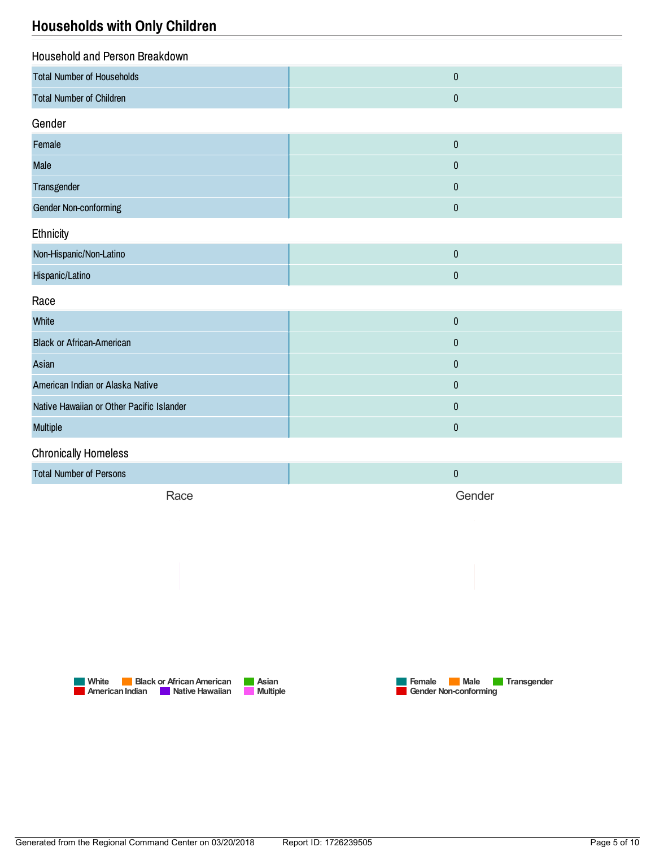## **Households with Only Children**

| Household and Person Breakdown            |           |  |
|-------------------------------------------|-----------|--|
| <b>Total Number of Households</b>         | $\pmb{0}$ |  |
| <b>Total Number of Children</b>           | $\pmb{0}$ |  |
| Gender                                    |           |  |
| Female                                    | $\pmb{0}$ |  |
| Male                                      | $\pmb{0}$ |  |
| Transgender                               | $\pmb{0}$ |  |
| Gender Non-conforming                     | $\pmb{0}$ |  |
| Ethnicity                                 |           |  |
| Non-Hispanic/Non-Latino                   | $\pmb{0}$ |  |
| Hispanic/Latino                           | $\pmb{0}$ |  |
| Race                                      |           |  |
| White                                     | $\pmb{0}$ |  |
| <b>Black or African-American</b>          | $\pmb{0}$ |  |
| Asian                                     | $\pmb{0}$ |  |
| American Indian or Alaska Native          | $\pmb{0}$ |  |
| Native Hawaiian or Other Pacific Islander | $\pmb{0}$ |  |
| Multiple                                  | $\pmb{0}$ |  |
| <b>Chronically Homeless</b>               |           |  |
| <b>Total Number of Persons</b>            | $\pmb{0}$ |  |
| Race                                      | Gender    |  |





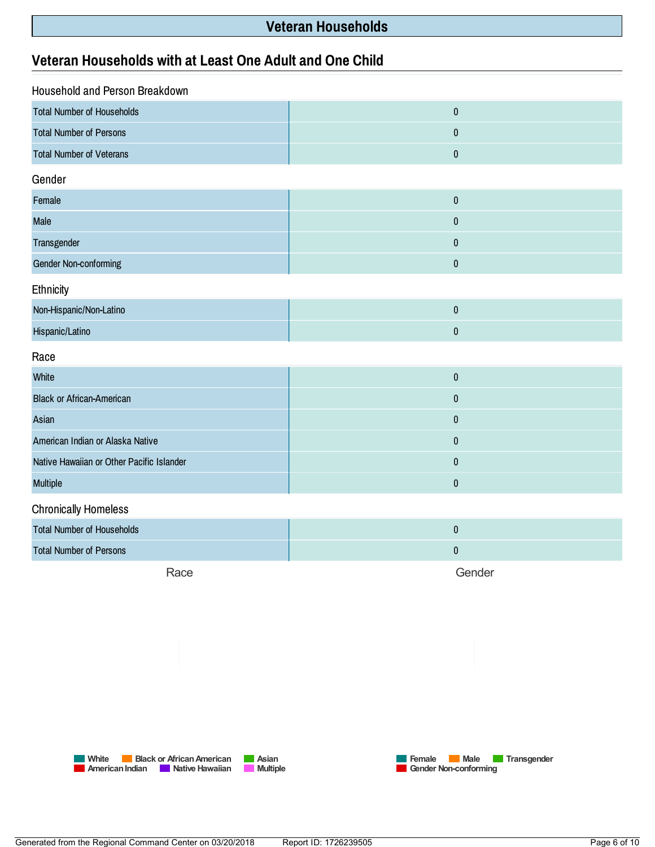### **Veteran Households**

### **Veteran Households withatLeast One Adult and One Child**

| Household and Person Breakdown            |           |  |
|-------------------------------------------|-----------|--|
| <b>Total Number of Households</b>         | $\pmb{0}$ |  |
| <b>Total Number of Persons</b>            | $\pmb{0}$ |  |
| <b>Total Number of Veterans</b>           | $\pmb{0}$ |  |
| Gender                                    |           |  |
| Female                                    | $\pmb{0}$ |  |
| Male                                      | $\pmb{0}$ |  |
| Transgender                               | $\pmb{0}$ |  |
| Gender Non-conforming                     | $\pmb{0}$ |  |
| Ethnicity                                 |           |  |
| Non-Hispanic/Non-Latino                   | $\pmb{0}$ |  |
| Hispanic/Latino                           | $\pmb{0}$ |  |
| Race                                      |           |  |
| White                                     | $\pmb{0}$ |  |
| <b>Black or African-American</b>          | $\pmb{0}$ |  |
| Asian                                     | $\pmb{0}$ |  |
| American Indian or Alaska Native          | $\pmb{0}$ |  |
| Native Hawaiian or Other Pacific Islander | $\pmb{0}$ |  |
| Multiple                                  | $\pmb{0}$ |  |
| <b>Chronically Homeless</b>               |           |  |
| <b>Total Number of Households</b>         | $\pmb{0}$ |  |
| <b>Total Number of Persons</b>            | $\pmb{0}$ |  |
|                                           |           |  |

Race

Gender



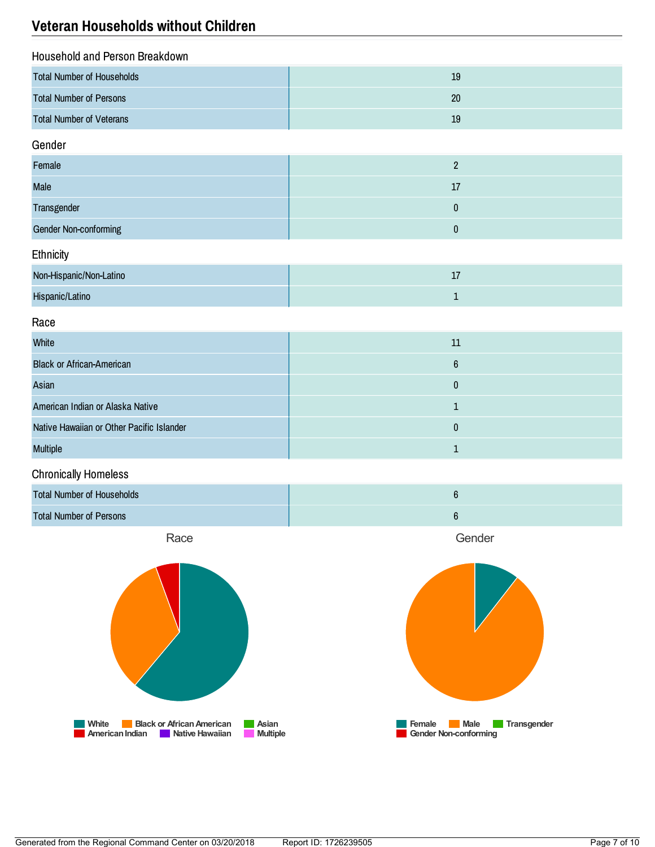### **Veteran Households without Children**

| Household and Person Breakdown    |                |  |
|-----------------------------------|----------------|--|
| <b>Total Number of Households</b> | 19             |  |
| <b>Total Number of Persons</b>    | 20             |  |
| <b>Total Number of Veterans</b>   | 19             |  |
| Gender                            |                |  |
| Female                            | $\overline{2}$ |  |
| <b>Male</b>                       | $17$           |  |
| Transgender                       | $\pmb{0}$      |  |
| <b>Gender Non-conforming</b>      | $\pmb{0}$      |  |
| Ethnicity                         |                |  |
| Non-Hispanic/Non-Latino           | $17$           |  |
| Hispanic/Latino                   | $\mathbf 1$    |  |
| Race                              |                |  |
| White                             | $11\,$         |  |
| <b>Black or African-American</b>  | $6\phantom{a}$ |  |
| Asian                             | $\pmb{0}$      |  |
|                                   |                |  |

| American Indian or Alaska Native          |  |
|-------------------------------------------|--|
| Native Hawaiian or Other Pacific Islander |  |
| <b>Multiple</b>                           |  |

#### Chronically Homeless

| <b>Total Number of Households</b> |  |
|-----------------------------------|--|
| <b>Total Number of Persons</b>    |  |

Race



Gender

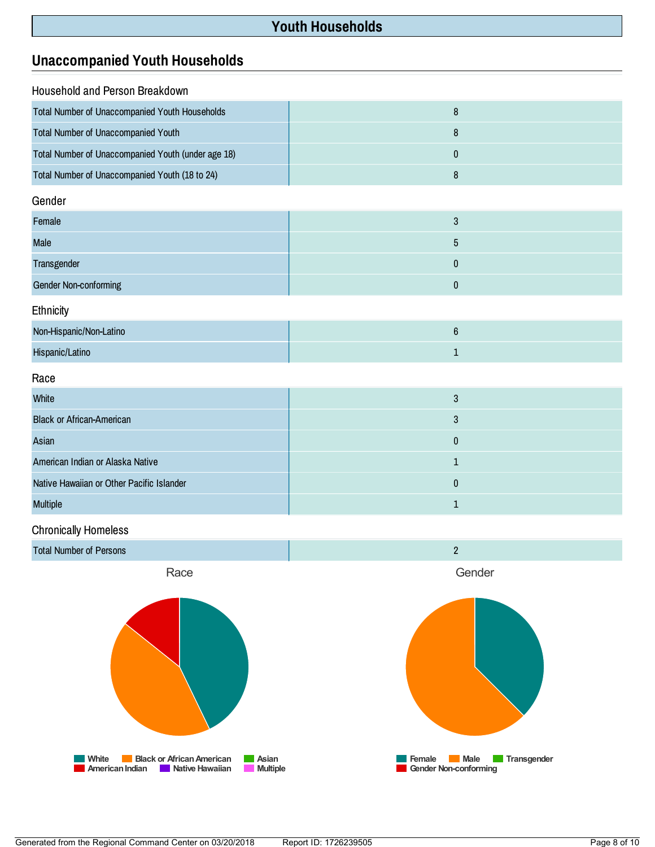# **Youth Households**

### **Unaccompanied Youth Households**

| Household and Person Breakdown                     |                  |  |
|----------------------------------------------------|------------------|--|
| Total Number of Unaccompanied Youth Households     | $\bf 8$          |  |
| Total Number of Unaccompanied Youth                | $\bf 8$          |  |
| Total Number of Unaccompanied Youth (under age 18) | $\bf{0}$         |  |
| Total Number of Unaccompanied Youth (18 to 24)     | 8                |  |
| Gender                                             |                  |  |
| Female                                             | $\mathbf{3}$     |  |
| Male                                               | $\sqrt{5}$       |  |
| Transgender                                        | $\pmb{0}$        |  |
| <b>Gender Non-conforming</b>                       | $\pmb{0}$        |  |
| Ethnicity                                          |                  |  |
| Non-Hispanic/Non-Latino                            | $\boldsymbol{6}$ |  |
| Hispanic/Latino                                    | $\mathbf{1}$     |  |
| Race                                               |                  |  |
| White                                              | $\mathbf{3}$     |  |
| <b>Black or African-American</b>                   | $\mathbf{3}$     |  |
| Asian                                              | $\bf{0}$         |  |
| American Indian or Alaska Native                   | $\mathbf 1$      |  |
| Native Hawaiian or Other Pacific Islander          | $\pmb{0}$        |  |
| <b>Multiple</b>                                    | 1                |  |

#### Chronically Homeless

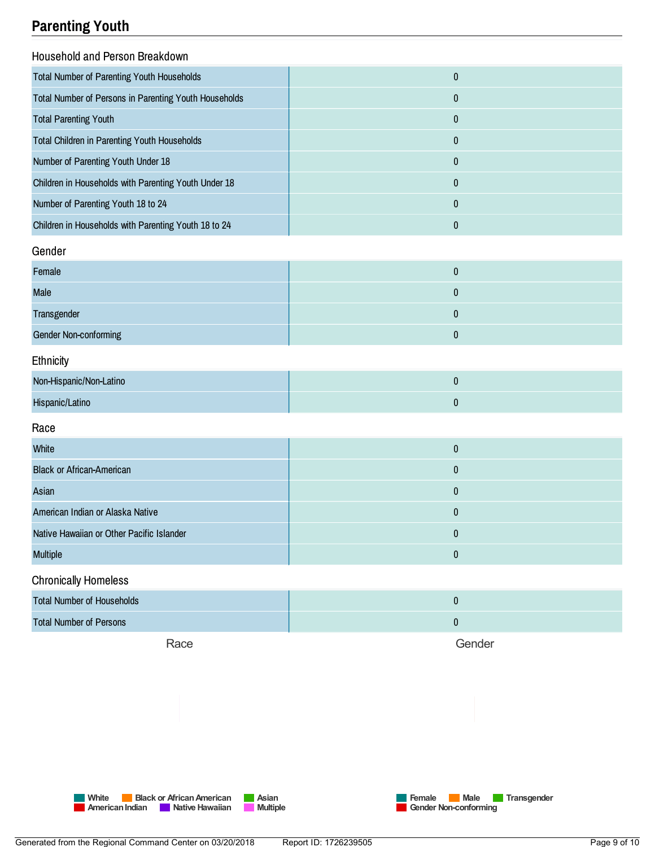# **Parenting Youth**

| Household and Person Breakdown                        |              |
|-------------------------------------------------------|--------------|
| <b>Total Number of Parenting Youth Households</b>     | $\bf{0}$     |
| Total Number of Persons in Parenting Youth Households | 0            |
| <b>Total Parenting Youth</b>                          | $\mathbf{0}$ |
| <b>Total Children in Parenting Youth Households</b>   | 0            |
| Number of Parenting Youth Under 18                    | 0            |
| Children in Households with Parenting Youth Under 18  | 0            |
| Number of Parenting Youth 18 to 24                    | $\mathbf{0}$ |
| Children in Households with Parenting Youth 18 to 24  | 0            |
| Gender                                                |              |
| <b>Eomolo</b>                                         | $\Omega$     |

| Female                |  |
|-----------------------|--|
| <b>Male</b>           |  |
| Transgender           |  |
| Gender Non-conforming |  |

### **Ethnicity**

| Non-Hispanic/Non-Latino |  |
|-------------------------|--|
| Hispanic/Latino         |  |

#### Race

| 0 |
|---|
| 0 |
| 0 |
| 0 |
| 0 |
| 0 |
|   |

#### Chronically Homeless

| <b>Total Number of Households</b> |        |
|-----------------------------------|--------|
| <b>Total Number of Persons</b>    |        |
| Race                              | Gender |

**Mite Black** or **African American Asian AmericanIndian Native Hawaiian Multiple**